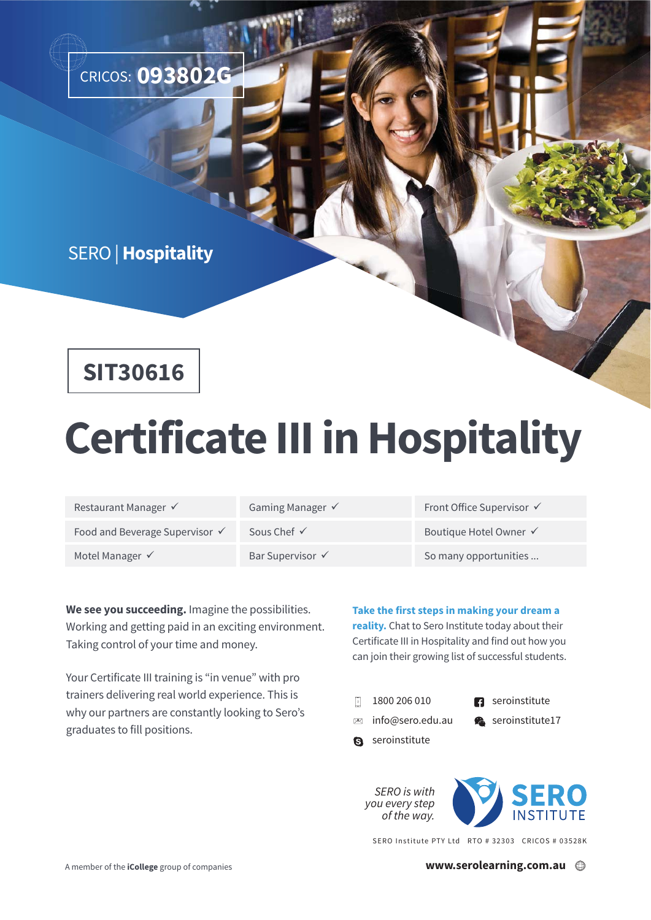

#### SERO | **Hospitality**

## **SIT30616**

# **Certificate III in Hospitality**

| Restaurant Manager √           | Gaming Manager $\checkmark$ | Front Office Supervisor √ |
|--------------------------------|-----------------------------|---------------------------|
| Food and Beverage Supervisor √ | Sous Chef $\checkmark$      | Boutique Hotel Owner √    |
| Motel Manager √                | Bar Supervisor √            | So many opportunities     |

**We see you succeeding.** Imagine the possibilities. Working and getting paid in an exciting environment. Taking control of your time and money.

Your Certificate III training is "in venue" with pro trainers delivering real world experience. This is why our partners are constantly looking to Sero's graduates to fill positions.

**Take the first steps in making your dream a reality.** Chat to Sero Institute today about their Certificate III in Hospitality and find out how you can join their growing list of successful students.

- 1800 206 010  $\overline{\phantom{a}}$ 
	- **R** seroinstitute
- 図 info@sero.edu.au
- Seroinstitute17
- **S** seroinstitute



SERO Institute PTY Ltd RTO # 32303 CRICOS # 03528K